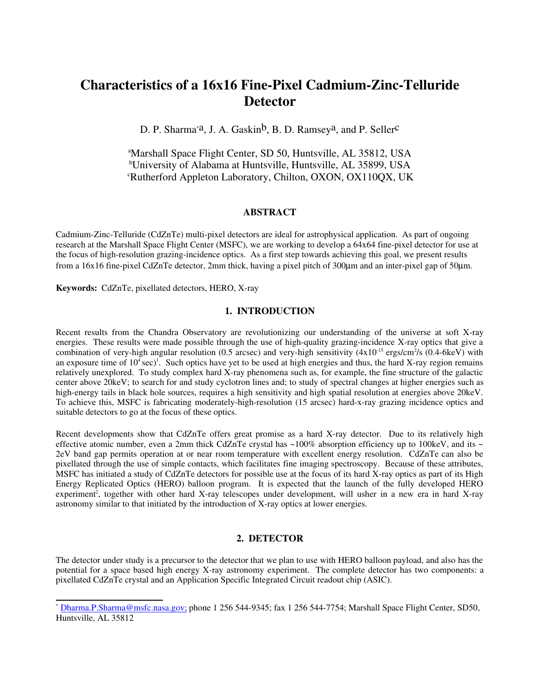# **Characteristics of a 16x16 Fine-Pixel Cadmium-Zinc-Telluride Detector**

D. P. Sharma<sup>\*a</sup>, J. A. Gaskin<sup>b</sup>, B. D. Ramsey<sup>a</sup>, and P. Seller<sup>c</sup>

<sup>a</sup>Marshall Space Flight Center, SD 50, Huntsville, AL 35812, USA <sup>b</sup>University of Alabama at Huntsville, Huntsville, AL 35899, USA <sup>c</sup>Rutherford Appleton Laboratory, Chilton, OXON, OX110QX, UK

# **ABSTRACT**

Cadmium-Zinc-Telluride (CdZnTe) multi-pixel detectors are ideal for astrophysical application. As part of ongoing research at the Marshall Space Flight Center (MSFC), we are working to develop a 64x64 fine-pixel detector for use at the focus of high-resolution grazing-incidence optics. As a first step towards achieving this goal, we present results from a 16x16 fine-pixel CdZnTe detector, 2mm thick, having a pixel pitch of 300µm and an inter-pixel gap of 50µm.

**Keywords:** CdZnTe, pixellated detectors, HERO, X-ray

# **1. INTRODUCTION**

Recent results from the Chandra Observatory are revolutionizing our understanding of the universe at soft X-ray energies. These results were made possible through the use of high-quality grazing-incidence X-ray optics that give a combination of very-high angular resolution (0.5 arcsec) and very-high sensitivity  $(4x10^{-15} \text{ ergs/cm}^2/\text{s}$  (0.4-6keV) with an exposure time of  $10^4$  sec)<sup>1</sup>. Such optics have yet to be used at high energies and thus, the hard X-ray region remains relatively unexplored. To study complex hard X-ray phenomena such as, for example, the fine structure of the galactic center above 20keV; to search for and study cyclotron lines and; to study of spectral changes at higher energies such as high-energy tails in black hole sources, requires a high sensitivity and high spatial resolution at energies above 20keV. To achieve this, MSFC is fabricating moderately-high-resolution (15 arcsec) hard-x-ray grazing incidence optics and suitable detectors to go at the focus of these optics.

Recent developments show that CdZnTe offers great promise as a hard X-ray detector. Due to its relatively high effective atomic number, even a 2mm thick CdZnTe crystal has  $\sim$ 100% absorption efficiency up to 100keV, and its  $\sim$ 2eV band gap permits operation at or near room temperature with excellent energy resolution. CdZnTe can also be pixellated through the use of simple contacts, which facilitates fine imaging spectroscopy. Because of these attributes, MSFC has initiated a study of CdZnTe detectors for possible use at the focus of its hard X-ray optics as part of its High Energy Replicated Optics (HERO) balloon program. It is expected that the launch of the fully developed HERO experiment<sup>2</sup>, together with other hard X-ray telescopes under development, will usher in a new era in hard X-ray astronomy similar to that initiated by the introduction of X-ray optics at lower energies.

# **2. DETECTOR**

The detector under study is a precursor to the detector that we plan to use with HERO balloon payload, and also has the potential for a space based high energy X-ray astronomy experiment. The complete detector has two components: a pixellated CdZnTe crystal and an Application Specific Integrated Circuit readout chip (ASIC).

<sup>\*</sup> Dharma.P.Sharma@msfc.nasa.gov; phone 1 256 544-9345; fax 1 256 544-7754; Marshall Space Flight Center, SD50, Huntsville, AL 35812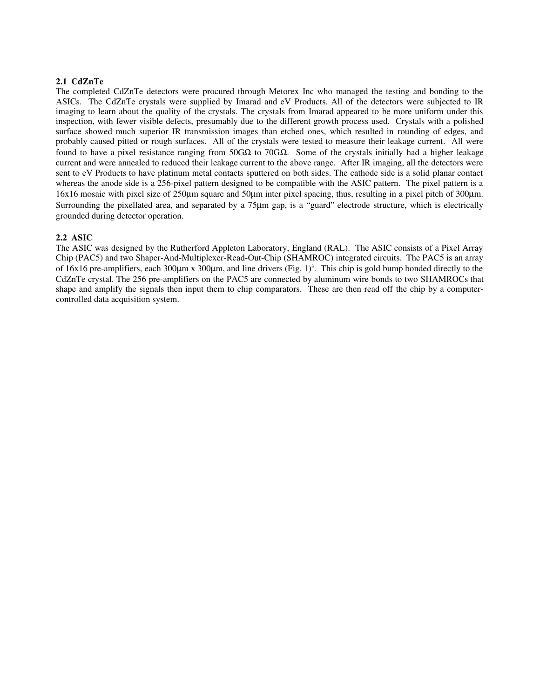### **2.1 CdZnTe**

The completed CdZnTe detectors were procured through Metorex Inc who managed the testing and bonding to the ASICs. The CdZnTe crystals were supplied by Imarad and eV Products. All of the detectors were subjected to IR imaging to learn about the quality of the crystals. The crystals from Imarad appeared to be more uniform under this inspection, with fewer visible defects, presumably due to the different growth process used. Crystals with a polished surface showed much superior IR transmission images than etched ones, which resulted in rounding of edges, and probably caused pitted or rough surfaces. All of the crystals were tested to measure their leakage current. All were found to have a pixel resistance ranging from 50GΩ to 70GΩ. Some of the crystals initially had a higher leakage current and were annealed to reduced their leakage current to the above range. After IR imaging, all the detectors were sent to eV Products to have platinum metal contacts sputtered on both sides. The cathode side is a solid planar contact whereas the anode side is a 256-pixel pattern designed to be compatible with the ASIC pattern. The pixel pattern is a 16x16 mosaic with pixel size of 250µm square and 50µm inter pixel spacing, thus, resulting in a pixel pitch of 300µm. Surrounding the pixellated area, and separated by a 75µm gap, is a "guard" electrode structure, which is electrically grounded during detector operation.

# **2.2 ASIC**

The ASIC was designed by the Rutherford Appleton Laboratory, England (RAL). The ASIC consists of a Pixel Array Chip (PAC5) and two Shaper-And-Multiplexer-Read-Out-Chip (SHAMROC) integrated circuits. The PAC5 is an array of 16x16 pre-amplifiers, each 300 $\mu$ m x 300 $\mu$ m, and line drivers (Fig. 1)<sup>3</sup>. This chip is gold bump bonded directly to the CdZnTe crystal. The 256 pre-amplifiers on the PAC5 are connected by aluminum wire bonds to two SHAMROCs that shape and amplify the signals then input them to chip comparators. These are then read off the chip by a computercontrolled data acquisition system.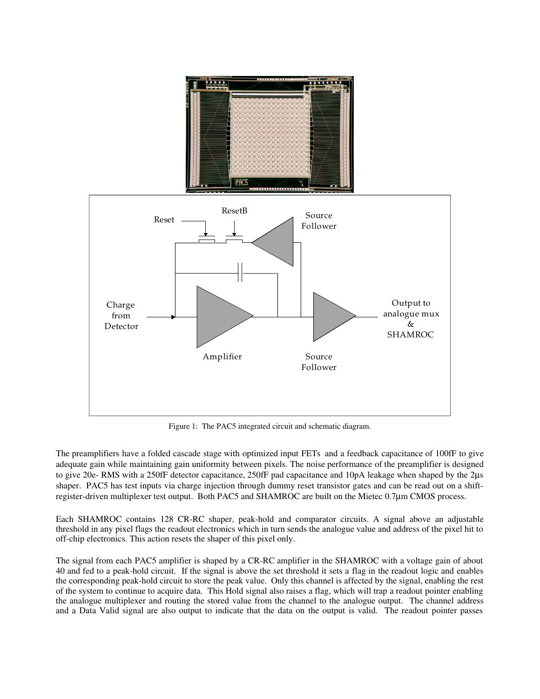

Figure 1: The PAC5 integrated circuit and schematic diagram.

The preamplifiers have a folded cascade stage with optimized input FETs and a feedback capacitance of 100fF to give adequate gain while maintaining gain uniformity between pixels. The noise performance of the preamplifier is designed to give 20e- RMS with a 250fF detector capacitance, 250fF pad capacitance and 10pA leakage when shaped by the 2µs shaper. PAC5 has test inputs via charge injection through dummy reset transistor gates and can be read out on a shiftregister-driven multiplexer test output. Both PAC5 and SHAMROC are built on the Mietec 0.7µm CMOS process.

Each SHAMROC contains 128 CR-RC shaper, peak-hold and comparator circuits. A signal above an adjustable threshold in any pixel flags the readout electronics which in turn sends the analogue value and address of the pixel hit to off-chip electronics. This action resets the shaper of this pixel only.

The signal from each PAC5 amplifier is shaped by a CR-RC amplifier in the SHAMROC with a voltage gain of about 40 and fed to a peak-hold circuit. If the signal is above the set threshold it sets a flag in the readout logic and enables the corresponding peak-hold circuit to store the peak value. Only this channel is affected by the signal, enabling the rest of the system to continue to acquire data. This Hold signal also raises a flag, which will trap a readout pointer enabling the analogue multiplexer and routing the stored value from the channel to the analogue output. The channel address and a Data Valid signal are also output to indicate that the data on the output is valid. The readout pointer passes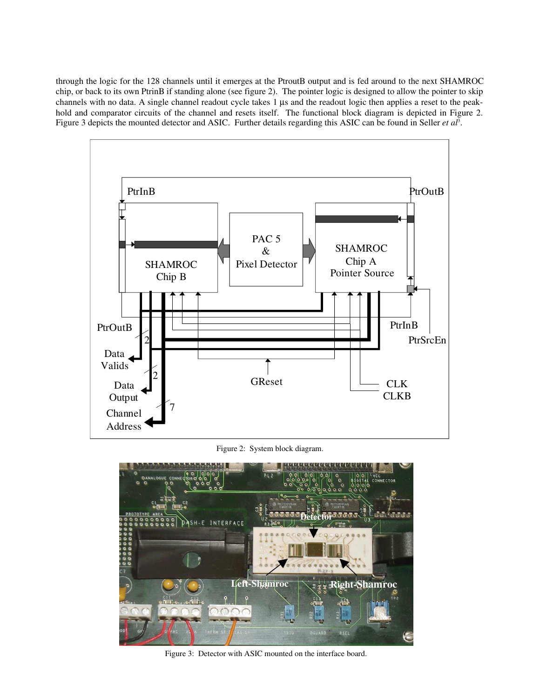through the logic for the 128 channels until it emerges at the PtroutB output and is fed around to the next SHAMROC chip, or back to its own PtrinB if standing alone (see figure 2). The pointer logic is designed to allow the pointer to skip channels with no data. A single channel readout cycle takes 1 µs and the readout logic then applies a reset to the peakhold and comparator circuits of the channel and resets itself. The functional block diagram is depicted in Figure 2. Figure 3 depicts the mounted detector and ASIC. Further details regarding this ASIC can be found in Seller *et al*<sup>3</sup>.



Figure 2: System block diagram.



Figure 3: Detector with ASIC mounted on the interface board.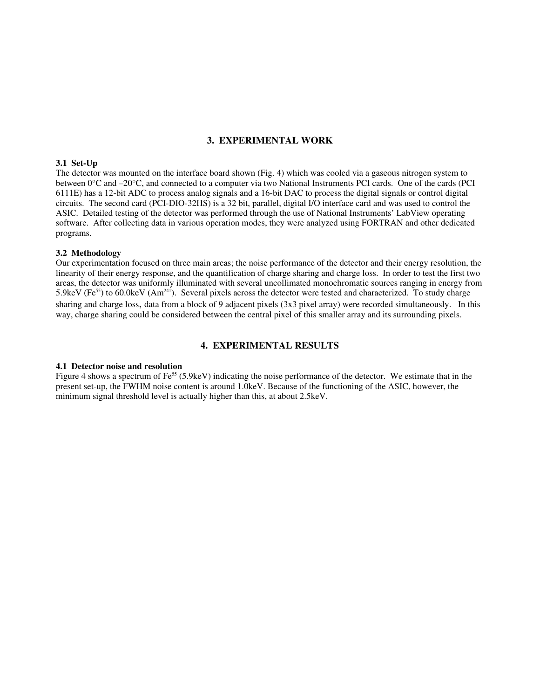# **3. EXPERIMENTAL WORK**

# **3.1 Set-Up**

The detector was mounted on the interface board shown (Fig. 4) which was cooled via a gaseous nitrogen system to between 0°C and –20°C, and connected to a computer via two National Instruments PCI cards. One of the cards (PCI 6111E) has a 12-bit ADC to process analog signals and a 16-bit DAC to process the digital signals or control digital circuits. The second card (PCI-DIO-32HS) is a 32 bit, parallel, digital I/O interface card and was used to control the ASIC. Detailed testing of the detector was performed through the use of National Instruments' LabView operating software. After collecting data in various operation modes, they were analyzed using FORTRAN and other dedicated programs.

#### **3.2 Methodology**

Our experimentation focused on three main areas; the noise performance of the detector and their energy resolution, the linearity of their energy response, and the quantification of charge sharing and charge loss. In order to test the first two areas, the detector was uniformly illuminated with several uncollimated monochromatic sources ranging in energy from 5.9keV (Fe<sup>55</sup>) to 60.0keV (Am<sup>241</sup>). Several pixels across the detector were tested and characterized. To study charge sharing and charge loss, data from a block of 9 adjacent pixels (3x3 pixel array) were recorded simultaneously. In this way, charge sharing could be considered between the central pixel of this smaller array and its surrounding pixels.

# **4. EXPERIMENTAL RESULTS**

#### **4.1 Detector noise and resolution**

Figure 4 shows a spectrum of  $Fe^{55}$  (5.9keV) indicating the noise performance of the detector. We estimate that in the present set-up, the FWHM noise content is around 1.0keV. Because of the functioning of the ASIC, however, the minimum signal threshold level is actually higher than this, at about 2.5keV.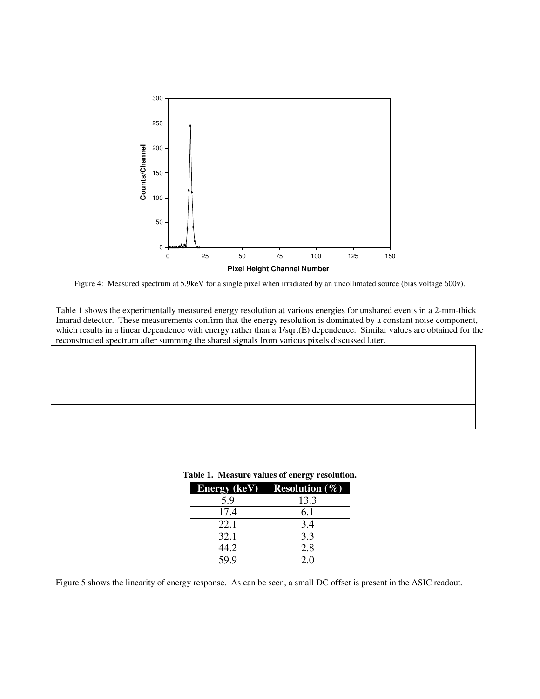

Figure 4: Measured spectrum at 5.9keV for a single pixel when irradiated by an uncollimated source (bias voltage 600v).

Table 1 shows the experimentally measured energy resolution at various energies for unshared events in a 2-mm-thick Imarad detector. These measurements confirm that the energy resolution is dominated by a constant noise component, which results in a linear dependence with energy rather than a 1/sqrt(E) dependence. Similar values are obtained for the reconstructed spectrum after summing the shared signals from various pixels discussed later.

|      | <b>Energy (keV)</b> Resolution $(\%)$ |
|------|---------------------------------------|
| 5.9  | 13.3                                  |
| 17.4 | 6.1                                   |
| 22.1 | 3.4                                   |
| 32.1 | 3.3                                   |
| 44.2 | 2.8                                   |
| 59.9 | 2.0                                   |

#### **Table 1. Measure values of energy resolution.**

Figure 5 shows the linearity of energy response. As can be seen, a small DC offset is present in the ASIC readout.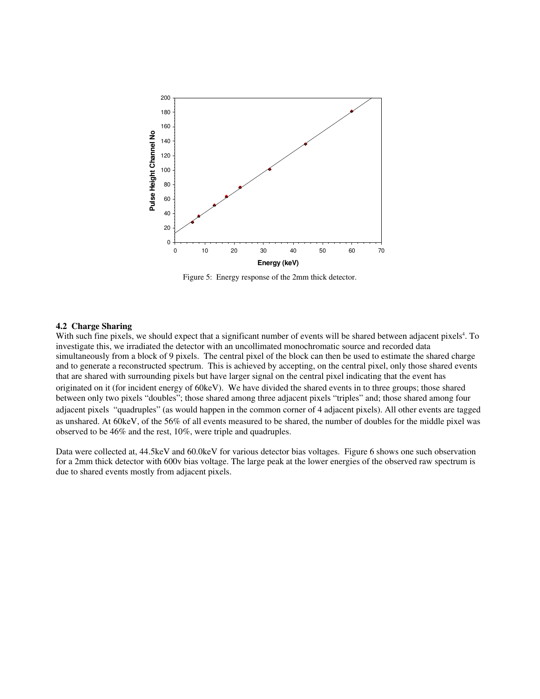

Figure 5: Energy response of the 2mm thick detector.

#### **4.2 Charge Sharing**

With such fine pixels, we should expect that a significant number of events will be shared between adjacent pixels<sup>4</sup>. To investigate this, we irradiated the detector with an uncollimated monochromatic source and recorded data simultaneously from a block of 9 pixels. The central pixel of the block can then be used to estimate the shared charge and to generate a reconstructed spectrum. This is achieved by accepting, on the central pixel, only those shared events that are shared with surrounding pixels but have larger signal on the central pixel indicating that the event has originated on it (for incident energy of 60keV). We have divided the shared events in to three groups; those shared between only two pixels "doubles"; those shared among three adjacent pixels "triples" and; those shared among four adjacent pixels "quadruples" (as would happen in the common corner of 4 adjacent pixels). All other events are tagged as unshared. At 60keV, of the 56% of all events measured to be shared, the number of doubles for the middle pixel was observed to be 46% and the rest, 10%, were triple and quadruples.

Data were collected at, 44.5keV and 60.0keV for various detector bias voltages. Figure 6 shows one such observation for a 2mm thick detector with 600v bias voltage. The large peak at the lower energies of the observed raw spectrum is due to shared events mostly from adjacent pixels.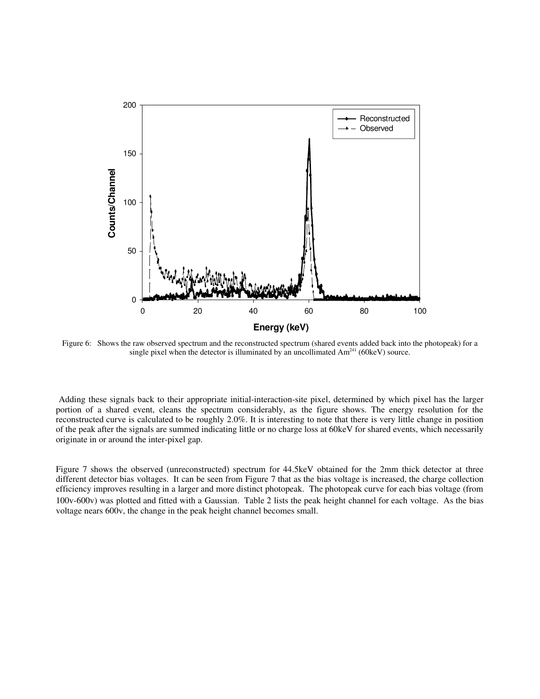

Figure 6: Shows the raw observed spectrum and the reconstructed spectrum (shared events added back into the photopeak) for a single pixel when the detector is illuminated by an uncollimated  $Am<sup>241</sup>$  (60keV) source.

Adding these signals back to their appropriate initial-interaction-site pixel, determined by which pixel has the larger portion of a shared event, cleans the spectrum considerably, as the figure shows. The energy resolution for the reconstructed curve is calculated to be roughly 2.0%. It is interesting to note that there is very little change in position of the peak after the signals are summed indicating little or no charge loss at 60keV for shared events, which necessarily originate in or around the inter-pixel gap.

Figure 7 shows the observed (unreconstructed) spectrum for 44.5keV obtained for the 2mm thick detector at three different detector bias voltages. It can be seen from Figure 7 that as the bias voltage is increased, the charge collection efficiency improves resulting in a larger and more distinct photopeak. The photopeak curve for each bias voltage (from 100v-600v) was plotted and fitted with a Gaussian. Table 2 lists the peak height channel for each voltage. As the bias voltage nears 600v, the change in the peak height channel becomes small.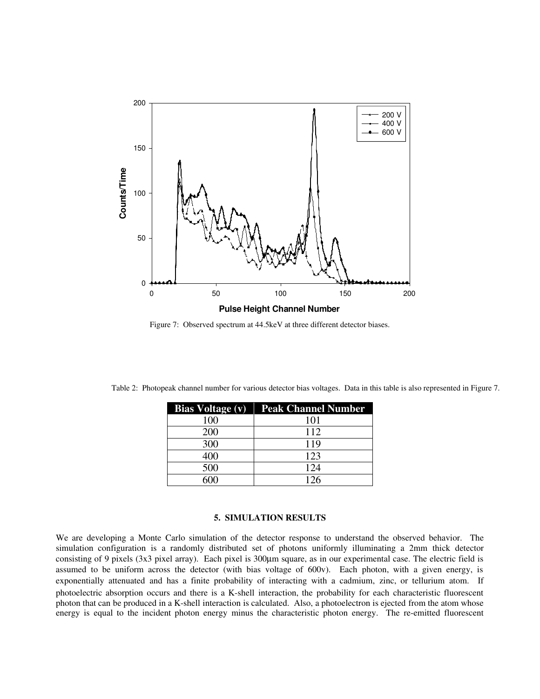

Figure 7: Observed spectrum at 44.5keV at three different detector biases.

|     | <b>Bias Voltage (v)</b>   <b>Peak Channel Number</b> |
|-----|------------------------------------------------------|
| 100 | 101                                                  |
| 200 | 112                                                  |
| 300 | 119                                                  |
|     | 123                                                  |
| 500 | 124                                                  |
|     |                                                      |

Table 2: Photopeak channel number for various detector bias voltages. Data in this table is also represented in Figure 7.

#### **5. SIMULATION RESULTS**

We are developing a Monte Carlo simulation of the detector response to understand the observed behavior. The simulation configuration is a randomly distributed set of photons uniformly illuminating a 2mm thick detector consisting of 9 pixels (3x3 pixel array). Each pixel is 300µm square, as in our experimental case. The electric field is assumed to be uniform across the detector (with bias voltage of 600v). Each photon, with a given energy, is exponentially attenuated and has a finite probability of interacting with a cadmium, zinc, or tellurium atom. If photoelectric absorption occurs and there is a K-shell interaction, the probability for each characteristic fluorescent photon that can be produced in a K-shell interaction is calculated. Also, a photoelectron is ejected from the atom whose energy is equal to the incident photon energy minus the characteristic photon energy. The re-emitted fluorescent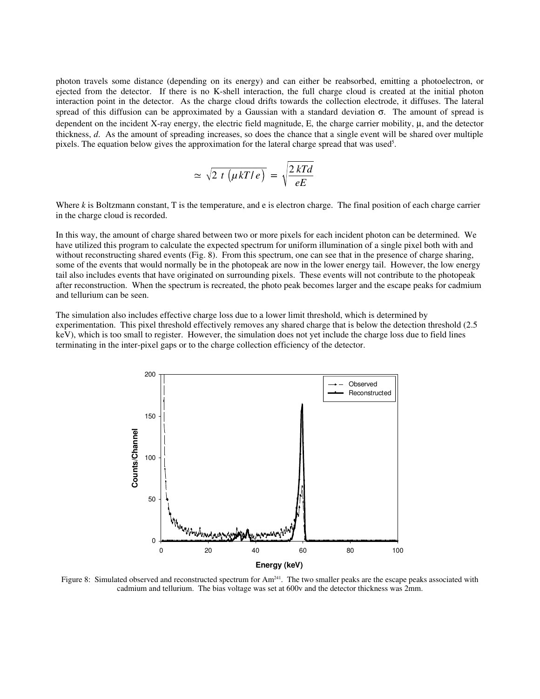photon travels some distance (depending on its energy) and can either be reabsorbed, emitting a photoelectron, or ejected from the detector. If there is no K-shell interaction, the full charge cloud is created at the initial photon interaction point in the detector. As the charge cloud drifts towards the collection electrode, it diffuses. The lateral spread of this diffusion can be approximated by a Gaussian with a standard deviation  $\sigma$ . The amount of spread is dependent on the incident X-ray energy, the electric field magnitude,  $E$ , the charge carrier mobility,  $\mu$ , and the detector thickness, *d*. As the amount of spreading increases, so does the chance that a single event will be shared over multiple pixels. The equation below gives the approximation for the lateral charge spread that was used<sup>5</sup>.

$$
\simeq \sqrt{2 t (\mu kT/e)} = \sqrt{\frac{2 kT d}{eE}}
$$

Where *k* is Boltzmann constant, T is the temperature, and e is electron charge. The final position of each charge carrier in the charge cloud is recorded.

In this way, the amount of charge shared between two or more pixels for each incident photon can be determined. We have utilized this program to calculate the expected spectrum for uniform illumination of a single pixel both with and without reconstructing shared events (Fig. 8). From this spectrum, one can see that in the presence of charge sharing, some of the events that would normally be in the photopeak are now in the lower energy tail. However, the low energy tail also includes events that have originated on surrounding pixels. These events will not contribute to the photopeak after reconstruction. When the spectrum is recreated, the photo peak becomes larger and the escape peaks for cadmium and tellurium can be seen.

The simulation also includes effective charge loss due to a lower limit threshold, which is determined by experimentation. This pixel threshold effectively removes any shared charge that is below the detection threshold (2.5 keV), which is too small to register. However, the simulation does not yet include the charge loss due to field lines terminating in the inter-pixel gaps or to the charge collection efficiency of the detector.



Figure 8: Simulated observed and reconstructed spectrum for  $Am<sup>241</sup>$ . The two smaller peaks are the escape peaks associated with cadmium and tellurium. The bias voltage was set at 600v and the detector thickness was 2mm.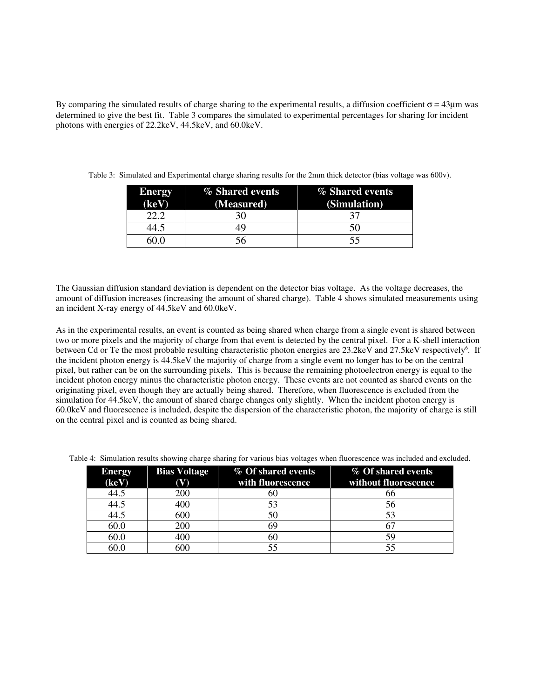By comparing the simulated results of charge sharing to the experimental results, a diffusion coefficient  $\sigma \approx 43\mu m$  was determined to give the best fit. Table 3 compares the simulated to experimental percentages for sharing for incident photons with energies of 22.2keV, 44.5keV, and 60.0keV.

| <b>Energy</b> | % Shared events | % Shared events |  |
|---------------|-----------------|-----------------|--|
| (keV)         | (Measured)      | (Simulation)    |  |
|               | 30              |                 |  |
| $+4.5$        | 49              | 50              |  |
|               | 56              | 55              |  |

Table 3: Simulated and Experimental charge sharing results for the 2mm thick detector (bias voltage was 600v).

The Gaussian diffusion standard deviation is dependent on the detector bias voltage. As the voltage decreases, the amount of diffusion increases (increasing the amount of shared charge). Table 4 shows simulated measurements using an incident X-ray energy of 44.5keV and 60.0keV.

As in the experimental results, an event is counted as being shared when charge from a single event is shared between two or more pixels and the majority of charge from that event is detected by the central pixel. For a K-shell interaction between Cd or Te the most probable resulting characteristic photon energies are 23.2keV and 27.5keV respectively<sup>6</sup>. If the incident photon energy is 44.5keV the majority of charge from a single event no longer has to be on the central pixel, but rather can be on the surrounding pixels. This is because the remaining photoelectron energy is equal to the incident photon energy minus the characteristic photon energy. These events are not counted as shared events on the originating pixel, even though they are actually being shared. Therefore, when fluorescence is excluded from the simulation for 44.5keV, the amount of shared charge changes only slightly. When the incident photon energy is 60.0keV and fluorescence is included, despite the dispersion of the characteristic photon, the majority of charge is still on the central pixel and is counted as being shared.

| <b>Energy</b><br>(keV) | <b>Bias Voltage</b><br>W) | % Of shared events<br>with fluorescence | % Of shared events<br>without fluorescence |
|------------------------|---------------------------|-----------------------------------------|--------------------------------------------|
| 44.5                   | 200                       | 60                                      | რრ                                         |
| 44.5                   | 400                       | 53                                      | 56                                         |
| 44.5                   | 600                       | 50                                      |                                            |
| 60.0                   | 200                       |                                         |                                            |
| 60.0                   | 400                       | 60                                      |                                            |
| 60.C                   | 600                       |                                         |                                            |

Table 4: Simulation results showing charge sharing for various bias voltages when fluorescence was included and excluded.